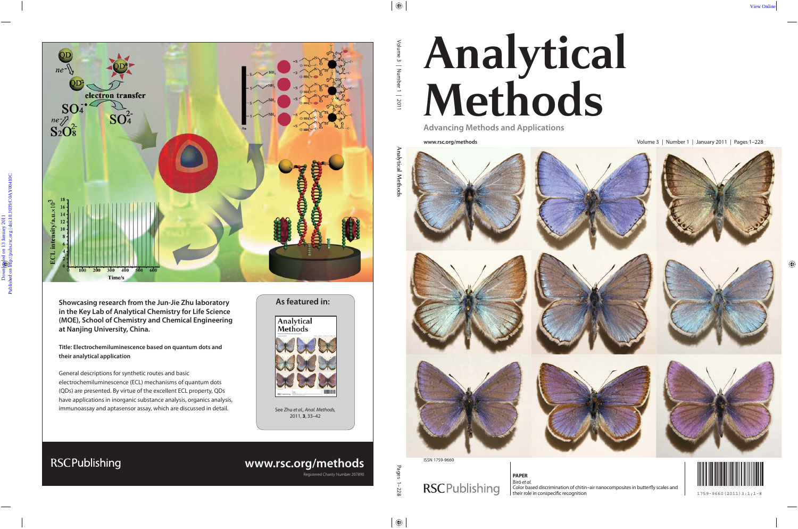# **Analytical Methods**

**Advancing Methods and Applications**

**www.rsc.org/methods** Volume 3 | Number 1 | January 2011 | Pages 1–228



ISSN 1759-9660

## **RSCPublishing**

**PAPER** Biró et al. Color based discrimination of chitin–air nanocomposites in butterfly scales and their role in conspecific recognition their role in conspecific recognition the state of the state of the state of the state of the state of the state of the state of the state of the state of the state of the state of the

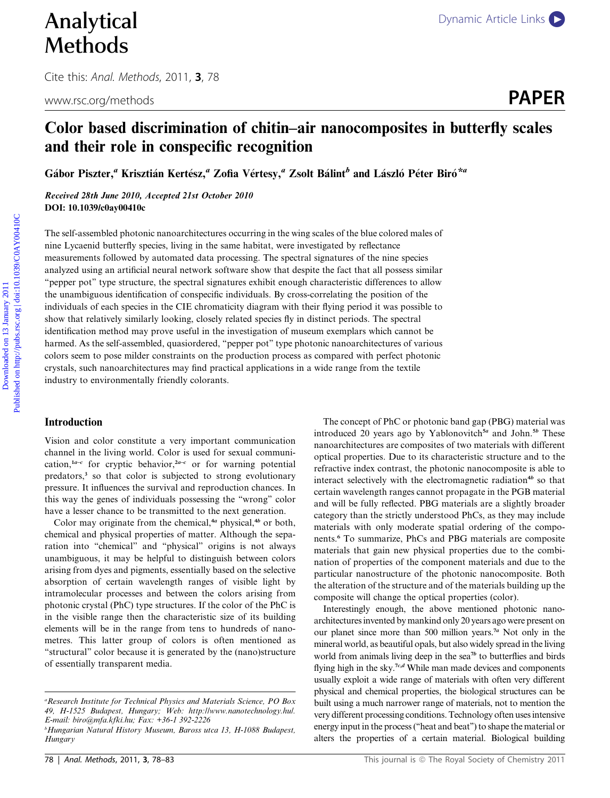Cite this: Anal. Methods, 2011, 3, 78

### Color based discrimination of chitin–air nanocomposites in butterfly scales and their role in conspecific recognition

Gábor Piszter," Krisztián Kertész," Zofia Vértesy," Zsolt Bálint" and László Péter Biró\*"

Received 28th June 2010, Accepted 21st October 2010 DOI: 10.1039/c0ay00410c

The self-assembled photonic nanoarchitectures occurring in the wing scales of the blue colored males of nine Lycaenid butterfly species, living in the same habitat, were investigated by reflectance measurements followed by automated data processing. The spectral signatures of the nine species analyzed using an artificial neural network software show that despite the fact that all possess similar ''pepper pot'' type structure, the spectral signatures exhibit enough characteristic differences to allow the unambiguous identification of conspecific individuals. By cross-correlating the position of the individuals of each species in the CIE chromaticity diagram with their flying period it was possible to show that relatively similarly looking, closely related species fly in distinct periods. The spectral identification method may prove useful in the investigation of museum exemplars which cannot be harmed. As the self-assembled, quasiordered, "pepper pot" type photonic nanoarchitectures of various colors seem to pose milder constraints on the production process as compared with perfect photonic crystals, such nanoarchitectures may find practical applications in a wide range from the textile industry to environmentally friendly colorants. **Domain Constrained Constrained on 13 January 2011**<br> **Domain And Methods**<br> **Download on 13 January 2011**<br> **Downloaded on 13 January 2011 Published on 13 January 2012**<br> **Downloaded on the Constrained on the Construction of** 

#### Introduction

Vision and color constitute a very important communication channel in the living world. Color is used for sexual communication,<sup>1a-c</sup> for cryptic behavior,<sup>2a-c</sup> or for warning potential predators,<sup>3</sup> so that color is subjected to strong evolutionary pressure. It influences the survival and reproduction chances. In this way the genes of individuals possessing the ''wrong'' color have a lesser chance to be transmitted to the next generation.

Color may originate from the chemical, $4a$  physical, $4b$  or both, chemical and physical properties of matter. Although the separation into ''chemical'' and ''physical'' origins is not always unambiguous, it may be helpful to distinguish between colors arising from dyes and pigments, essentially based on the selective absorption of certain wavelength ranges of visible light by intramolecular processes and between the colors arising from photonic crystal (PhC) type structures. If the color of the PhC is in the visible range then the characteristic size of its building elements will be in the range from tens to hundreds of nanometres. This latter group of colors is often mentioned as ''structural'' color because it is generated by the (nano)structure of essentially transparent media.

The concept of PhC or photonic band gap (PBG) material was introduced 20 years ago by Yablonovitch<sup>5a</sup> and John.<sup>5b</sup> These nanoarchitectures are composites of two materials with different optical properties. Due to its characteristic structure and to the refractive index contrast, the photonic nanocomposite is able to interact selectively with the electromagnetic radiation<sup>4b</sup> so that certain wavelength ranges cannot propagate in the PGB material and will be fully reflected. PBG materials are a slightly broader category than the strictly understood PhCs, as they may include materials with only moderate spatial ordering of the components.<sup>6</sup> To summarize, PhCs and PBG materials are composite materials that gain new physical properties due to the combination of properties of the component materials and due to the particular nanostructure of the photonic nanocomposite. Both the alteration of the structure and of the materials building up the composite will change the optical properties (color).

Interestingly enough, the above mentioned photonic nanoarchitectures invented by mankind only 20 years ago were present on our planet since more than 500 million years.<sup>7a</sup> Not only in the mineral world, as beautiful opals, but also widely spread in the living world from animals living deep in the sea<sup>7b</sup> to butterflies and birds flying high in the sky.<sup>7c,d</sup> While man made devices and components usually exploit a wide range of materials with often very different physical and chemical properties, the biological structures can be built using a much narrower range of materials, not to mention the very different processing conditions. Technology often uses intensive energy input in the process (''heat and beat'') to shape the material or alters the properties of a certain material. Biological building

<sup>&</sup>lt;sup>a</sup> Research Institute for Technical Physics and Materials Science, PO Box 49, H-1525 Budapest, Hungary; Web: http://www.nanotechnology.hu/. E-mail: biro@mfa.kfki.hu; Fax: +36-1 392-2226

b Hungarian Natural History Museum, Baross utca 13, H-1088 Budapest, Hungary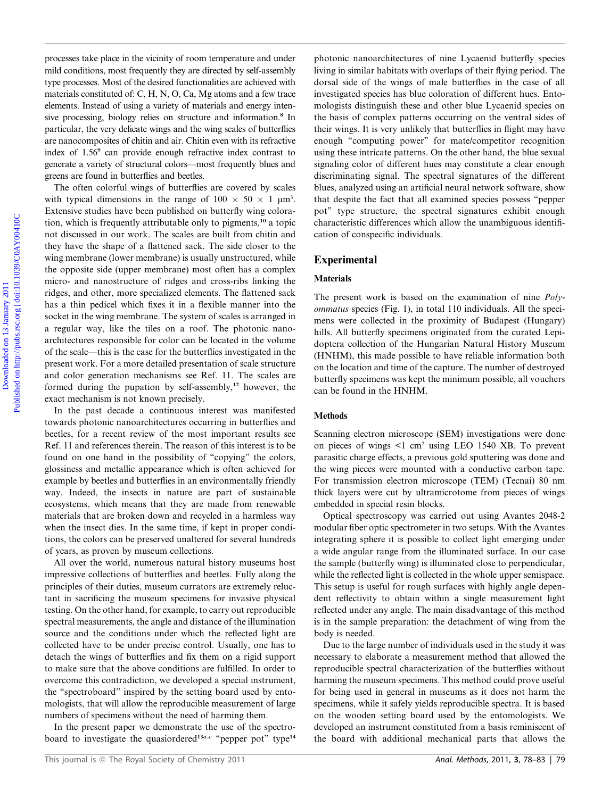processes take place in the vicinity of room temperature and under mild conditions, most frequently they are directed by self-assembly type processes. Most of the desired functionalities are achieved with materials constituted of: C, H, N, O, Ca, Mg atoms and a few trace elements. Instead of using a variety of materials and energy intensive processing, biology relies on structure and information.<sup>8</sup> In particular, the very delicate wings and the wing scales of butterflies are nanocomposites of chitin and air. Chitin even with its refractive index of 1.56<sup>9</sup> can provide enough refractive index contrast to generate a variety of structural colors—most frequently blues and greens are found in butterflies and beetles.

The often colorful wings of butterflies are covered by scales with typical dimensions in the range of  $100 \times 50 \times 1 \text{ }\mu\text{m}^3$ . Extensive studies have been published on butterfly wing coloration, which is frequently attributable only to pigments,<sup>10</sup> a topic not discussed in our work. The scales are built from chitin and they have the shape of a flattened sack. The side closer to the wing membrane (lower membrane) is usually unstructured, while the opposite side (upper membrane) most often has a complex micro- and nanostructure of ridges and cross-ribs linking the ridges, and other, more specialized elements. The flattened sack has a thin pedicel which fixes it in a flexible manner into the socket in the wing membrane. The system of scales is arranged in a regular way, like the tiles on a roof. The photonic nanoarchitectures responsible for color can be located in the volume of the scale—this is the case for the butterflies investigated in the present work. For a more detailed presentation of scale structure and color generation mechanisms see Ref. 11. The scales are formed during the pupation by self-assembly, $12$  however, the exact mechanism is not known precisely. measses take phase in the veirnity of room temperature and urder photonic rannaethiseatures of vine I senseind but<br>left on the presence same state for described on the form of the same of the form of the same of the same

In the past decade a continuous interest was manifested towards photonic nanoarchitectures occurring in butterflies and beetles, for a recent review of the most important results see Ref. 11 and references therein. The reason of this interest is to be found on one hand in the possibility of ''copying'' the colors, glossiness and metallic appearance which is often achieved for example by beetles and butterflies in an environmentally friendly way. Indeed, the insects in nature are part of sustainable ecosystems, which means that they are made from renewable materials that are broken down and recycled in a harmless way when the insect dies. In the same time, if kept in proper conditions, the colors can be preserved unaltered for several hundreds of years, as proven by museum collections.

All over the world, numerous natural history museums host impressive collections of butterflies and beetles. Fully along the principles of their duties, museum currators are extremely reluctant in sacrificing the museum specimens for invasive physical testing. On the other hand, for example, to carry out reproducible spectral measurements, the angle and distance of the illumination source and the conditions under which the reflected light are collected have to be under precise control. Usually, one has to detach the wings of butterflies and fix them on a rigid support to make sure that the above conditions are fulfilled. In order to overcome this contradiction, we developed a special instrument, the ''spectroboard'' inspired by the setting board used by entomologists, that will allow the reproducible measurement of large numbers of specimens without the need of harming them.

In the present paper we demonstrate the use of the spectroboard to investigate the quasiordered<sup>13a-c</sup> "pepper pot" type<sup>14</sup>

photonic nanoarchitectures of nine Lycaenid butterfly species living in similar habitats with overlaps of their flying period. The dorsal side of the wings of male butterflies in the case of all investigated species has blue coloration of different hues. Entomologists distinguish these and other blue Lycaenid species on the basis of complex patterns occurring on the ventral sides of their wings. It is very unlikely that butterflies in flight may have enough ''computing power'' for mate/competitor recognition using these intricate patterns. On the other hand, the blue sexual signaling color of different hues may constitute a clear enough discriminating signal. The spectral signatures of the different blues, analyzed using an artificial neural network software, show that despite the fact that all examined species possess ''pepper pot'' type structure, the spectral signatures exhibit enough characteristic differences which allow the unambiguous identification of conspecific individuals.

#### Experimental

#### **Materials**

The present work is based on the examination of nine *Poly*ommatus species (Fig. 1), in total 110 individuals. All the specimens were collected in the proximity of Budapest (Hungary) hills. All butterfly specimens originated from the curated Lepidoptera collection of the Hungarian Natural History Museum (HNHM), this made possible to have reliable information both on the location and time of the capture. The number of destroyed butterfly specimens was kept the minimum possible, all vouchers can be found in the HNHM.

#### Methods

Scanning electron microscope (SEM) investigations were done on pieces of wings  $\leq 1$  cm<sup>2</sup> using LEO 1540 XB. To prevent parasitic charge effects, a previous gold sputtering was done and the wing pieces were mounted with a conductive carbon tape. For transmission electron microscope (TEM) (Tecnai) 80 nm thick layers were cut by ultramicrotome from pieces of wings embedded in special resin blocks.

Optical spectroscopy was carried out using Avantes 2048-2 modular fiber optic spectrometer in two setups. With the Avantes integrating sphere it is possible to collect light emerging under a wide angular range from the illuminated surface. In our case the sample (butterfly wing) is illuminated close to perpendicular, while the reflected light is collected in the whole upper semispace. This setup is useful for rough surfaces with highly angle dependent reflectivity to obtain within a single measurement light reflected under any angle. The main disadvantage of this method is in the sample preparation: the detachment of wing from the body is needed.

Due to the large number of individuals used in the study it was necessary to elaborate a measurement method that allowed the reproducible spectral characterization of the butterflies without harming the museum specimens. This method could prove useful for being used in general in museums as it does not harm the specimens, while it safely yields reproducible spectra. It is based on the wooden setting board used by the entomologists. We developed an instrument constituted from a basis reminiscent of the board with additional mechanical parts that allows the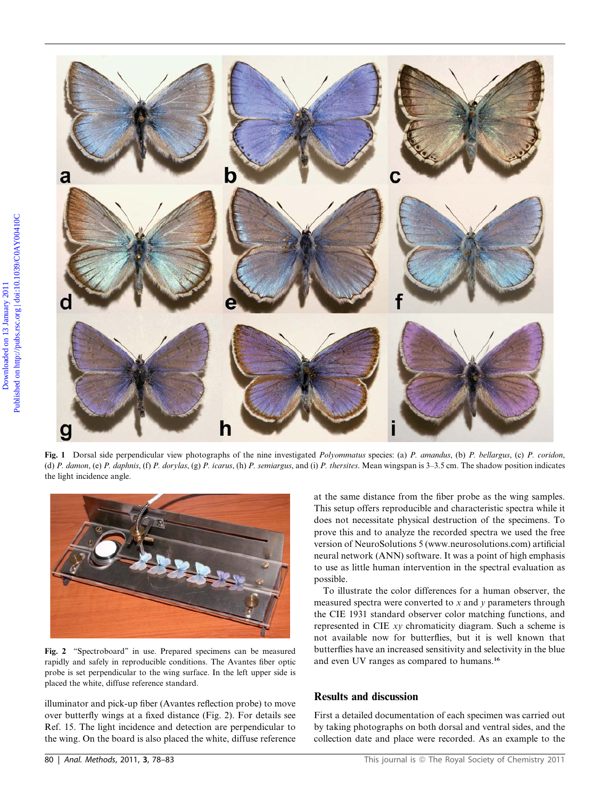

Fig. 1 Dorsal side perpendicular view photographs of the nine investigated *Polyommatus* species: (a) P. amandus, (b) P. bellargus, (c) P. coridon, (d) P. damon, (e) P. daphnis, (f) P. dorylas, (g) P. icarus, (h) P. semiargus, and (i) P. thersites. Mean wingspan is 3–3.5 cm. The shadow position indicates the light incidence angle.



Fig. 2 ''Spectroboard'' in use. Prepared specimens can be measured rapidly and safely in reproducible conditions. The Avantes fiber optic probe is set perpendicular to the wing surface. In the left upper side is placed the white, diffuse reference standard.

illuminator and pick-up fiber (Avantes reflection probe) to move over butterfly wings at a fixed distance (Fig. 2). For details see Ref. 15. The light incidence and detection are perpendicular to the wing. On the board is also placed the white, diffuse reference

at the same distance from the fiber probe as the wing samples. This setup offers reproducible and characteristic spectra while it does not necessitate physical destruction of the specimens. To prove this and to analyze the recorded spectra we used the free version of NeuroSolutions 5 (www.neurosolutions.com) artificial neural network (ANN) software. It was a point of high emphasis to use as little human intervention in the spectral evaluation as possible.

To illustrate the color differences for a human observer, the measured spectra were converted to  $x$  and  $y$  parameters through the CIE 1931 standard observer color matching functions, and represented in CIE xy chromaticity diagram. Such a scheme is not available now for butterflies, but it is well known that butterflies have an increased sensitivity and selectivity in the blue and even UV ranges as compared to humans.<sup>16</sup>

#### Results and discussion

First a detailed documentation of each specimen was carried out by taking photographs on both dorsal and ventral sides, and the collection date and place were recorded. As an example to the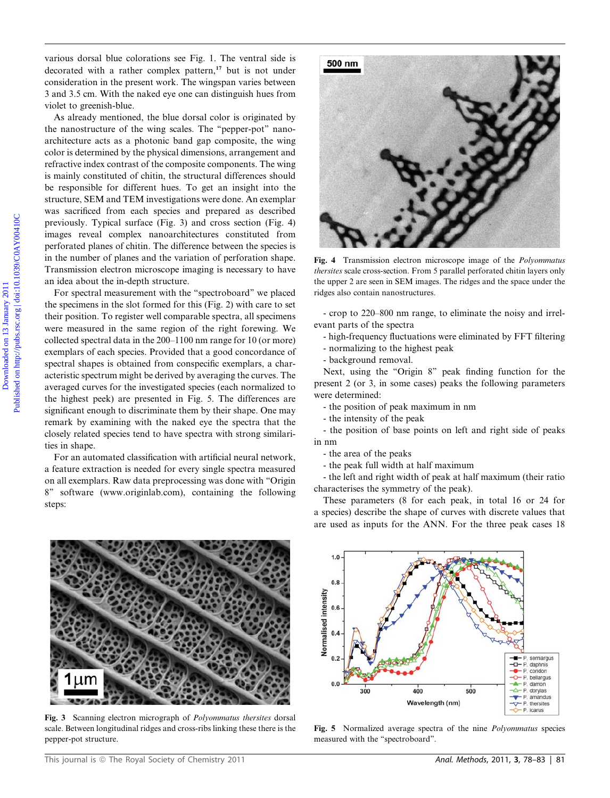various dorsal blue colorations see Fig. 1. The ventral side is decorated with a rather complex pattern,<sup>17</sup> but is not under consideration in the present work. The wingspan varies between 3 and 3.5 cm. With the naked eye one can distinguish hues from violet to greenish-blue.

As already mentioned, the blue dorsal color is originated by the nanostructure of the wing scales. The ''pepper-pot'' nanoarchitecture acts as a photonic band gap composite, the wing color is determined by the physical dimensions, arrangement and refractive index contrast of the composite components. The wing is mainly constituted of chitin, the structural differences should be responsible for different hues. To get an insight into the structure, SEM and TEM investigations were done. An exemplar was sacrificed from each species and prepared as described previously. Typical surface (Fig. 3) and cross section (Fig. 4) images reveal complex nanoarchitectures constituted from perforated planes of chitin. The difference between the species is in the number of planes and the variation of perforation shape. Transmission electron microscope imaging is necessary to have an idea about the in-depth structure.

For spectral measurement with the ''spectroboard'' we placed the specimens in the slot formed for this (Fig. 2) with care to set their position. To register well comparable spectra, all specimens were measured in the same region of the right forewing. We collected spectral data in the 200–1100 nm range for 10 (or more) exemplars of each species. Provided that a good concordance of spectral shapes is obtained from conspecific exemplars, a characteristic spectrum might be derived by averaging the curves. The averaged curves for the investigated species (each normalized to the highest peek) are presented in Fig. 5. The differences are significant enough to discriminate them by their shape. One may remark by examining with the naked eye the spectra that the closely related species tend to have spectra with strong similarities in shape.

For an automated classification with artificial neural network, a feature extraction is needed for every single spectra measured on all exemplars. Raw data preprocessing was done with ''Origin 8'' software (www.originlab.com), containing the following steps:



Fig. 4 Transmission electron microscope image of the Polyommatus thersites scale cross-section. From 5 parallel perforated chitin layers only the upper 2 are seen in SEM images. The ridges and the space under the ridges also contain nanostructures.

- crop to 220–800 nm range, to eliminate the noisy and irrelevant parts of the spectra

- high-frequency fluctuations were eliminated by FFT filtering
- normalizing to the highest peak
- background removal.

Next, using the "Origin 8" peak finding function for the present 2 (or 3, in some cases) peaks the following parameters were determined:

- the position of peak maximum in nm
- the intensity of the peak

- the position of base points on left and right side of peaks in nm

- the area of the peaks
- the peak full width at half maximum

- the left and right width of peak at half maximum (their ratio characterises the symmetry of the peak).

These parameters (8 for each peak, in total 16 or 24 for a species) describe the shape of curves with discrete values that are used as inputs for the ANN. For the three peak cases 18



Fig. 3 Scanning electron micrograph of Polyommatus thersites dorsal scale. Between longitudinal ridges and cross-ribs linking these there is the pepper-pot structure.



Fig. 5 Normalized average spectra of the nine Polyommatus species measured with the ''spectroboard''.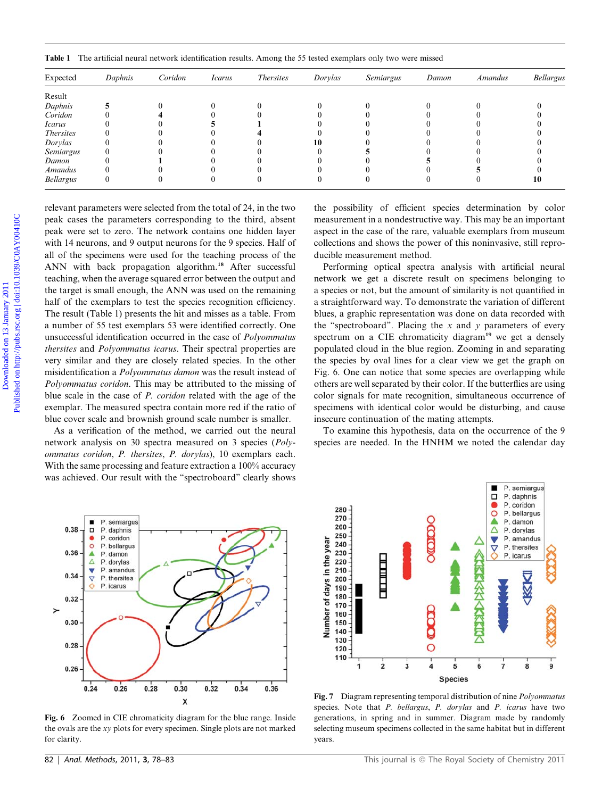Table 1 The artificial neural network identification results. Among the 55 tested exemplars only two were missed

|                                   |          |                                                                   |                |                                                                         |                      | Table 1 The artificial neural network identification results. Among the 55 tested exemplars only two were missed |       |                |           |
|-----------------------------------|----------|-------------------------------------------------------------------|----------------|-------------------------------------------------------------------------|----------------------|------------------------------------------------------------------------------------------------------------------|-------|----------------|-----------|
| Expected                          | Daphnis  | Coridon                                                           | <b>Icarus</b>  | Thersites                                                               | Dorylas              | Semiargus                                                                                                        | Damon | <b>Amandus</b> | Bellargus |
| Result                            |          |                                                                   |                |                                                                         |                      |                                                                                                                  |       |                |           |
| Daphnis                           | 5        |                                                                   |                |                                                                         |                      |                                                                                                                  |       |                |           |
| Coridon                           | $\Omega$ |                                                                   |                |                                                                         | $\Omega$<br>$\Omega$ |                                                                                                                  |       |                |           |
| <i>Icarus</i><br><i>Thersites</i> | $\Omega$ |                                                                   | $\overline{0}$ |                                                                         | $\Omega$             |                                                                                                                  |       |                |           |
| Dorylas                           |          |                                                                   | $\Omega$       |                                                                         | 10                   |                                                                                                                  |       |                |           |
| Semiargus                         |          |                                                                   |                |                                                                         | $\Omega$             |                                                                                                                  |       |                |           |
| Damon<br>Amandus                  |          |                                                                   |                |                                                                         | $\Omega$             |                                                                                                                  |       |                |           |
| Bellargus                         |          |                                                                   | $\Omega$       |                                                                         | $\Omega$             |                                                                                                                  |       |                |           |
|                                   |          |                                                                   |                |                                                                         |                      |                                                                                                                  |       |                |           |
|                                   |          |                                                                   |                |                                                                         |                      |                                                                                                                  |       |                |           |
|                                   |          |                                                                   |                | relevant parameters were selected from the total of 24, in the two      |                      | the possibility of efficient species determination by color                                                      |       |                |           |
|                                   |          |                                                                   |                | peak cases the parameters corresponding to the third, absent            |                      | measurement in a nondestructive way. This may be an important                                                    |       |                |           |
|                                   |          |                                                                   |                | peak were set to zero. The network contains one hidden layer            |                      | aspect in the case of the rare, valuable exemplars from museum                                                   |       |                |           |
|                                   |          |                                                                   |                | with 14 neurons, and 9 output neurons for the 9 species. Half of        |                      | collections and shows the power of this noninvasive, still repro-                                                |       |                |           |
|                                   |          |                                                                   |                | all of the specimens were used for the teaching process of the          |                      | ducible measurement method.                                                                                      |       |                |           |
|                                   |          |                                                                   |                | ANN with back propagation algorithm. <sup>18</sup> After successful     |                      | Performing optical spectra analysis with artificial neural                                                       |       |                |           |
|                                   |          |                                                                   |                | teaching, when the average squared error between the output and         |                      | network we get a discrete result on specimens belonging to                                                       |       |                |           |
|                                   |          |                                                                   |                | the target is small enough, the ANN was used on the remaining           |                      | a species or not, but the amount of similarity is not quantified in                                              |       |                |           |
|                                   |          | half of the exemplars to test the species recognition efficiency. |                |                                                                         |                      | a straightforward way. To demonstrate the variation of different                                                 |       |                |           |
|                                   |          | The result (Table 1) presents the hit and misses as a table. From |                |                                                                         |                      | blues, a graphic representation was done on data recorded with                                                   |       |                |           |
|                                   |          |                                                                   |                | a number of 55 test exemplars 53 were identified correctly. One         |                      | the "spectroboard". Placing the $x$ and $y$ parameters of every                                                  |       |                |           |
|                                   |          |                                                                   |                | unsuccessful identification occurred in the case of Polyommatus         |                      | spectrum on a CIE chromaticity diagram <sup>19</sup> we get a densely                                            |       |                |           |
|                                   |          |                                                                   |                | thersites and Polyommatus icarus. Their spectral properties are         |                      | populated cloud in the blue region. Zooming in and separating                                                    |       |                |           |
|                                   |          |                                                                   |                | very similar and they are closely related species. In the other         |                      | the species by oval lines for a clear view we get the graph on                                                   |       |                |           |
|                                   |          |                                                                   |                | misidentification a <i>Polyommatus damon</i> was the result instead of  |                      | Fig. 6. One can notice that some species are overlapping while                                                   |       |                |           |
|                                   |          |                                                                   |                | Polyommatus coridon. This may be attributed to the missing of           |                      | others are well separated by their color. If the butterflies are using                                           |       |                |           |
|                                   |          |                                                                   |                | blue scale in the case of <i>P. coridon</i> related with the age of the |                      | color signals for mate recognition, simultaneous occurrence of                                                   |       |                |           |
|                                   |          |                                                                   |                | exemplar. The measured spectra contain more red if the ratio of         |                      | specimens with identical color would be disturbing, and cause                                                    |       |                |           |

As a verification of the method, we carried out the neural network analysis on 30 spectra measured on 3 species (Polyommatus coridon, P. thersites, P. dorylas), 10 exemplars each. With the same processing and feature extraction a 100% accuracy was achieved. Our result with the ''spectroboard'' clearly shows

P. semiargus ٠ 0.38 P. daphnis  $\Box$ p coridon  $\circ$ P. bellargus 0.36 A P. damon P. dorylas Δ P. amandus 0.34 P. thersites  $\triangledown$ P. icarus 0.32  $\overline{\phantom{0}}$ 0.30  $0.28$  $0.26$  $0.28$  $0.36$  $0.24$  $0.26$  $0.30$  $0.32$  $0.34$ X

Fig. 6 Zoomed in CIE chromaticity diagram for the blue range. Inside the ovals are the xy plots for every specimen. Single plots are not marked for clarity.

Performing optical spectra analysis with artificial neural network we get a discrete result on specimens belonging to a species or not, but the amount of similarity is not quantified in a straightforward way. To demonstrate the variation of different blues, a graphic representation was done on data recorded with the "spectroboard". Placing the  $x$  and  $y$  parameters of every spectrum on a CIE chromaticity diagram<sup>19</sup> we get a densely populated cloud in the blue region. Zooming in and separating the species by oval lines for a clear view we get the graph on Fig. 6. One can notice that some species are overlapping while others are well separated by their color. If the butterflies are using color signals for mate recognition, simultaneous occurrence of specimens with identical color would be disturbing, and cause insecure continuation of the mating attempts.

To examine this hypothesis, data on the occurrence of the 9 species are needed. In the HNHM we noted the calendar day



Fig. 7 Diagram representing temporal distribution of nine Polyommatus species. Note that P. bellargus, P. dorylas and P. icarus have two generations, in spring and in summer. Diagram made by randomly selecting museum specimens collected in the same habitat but in different years.